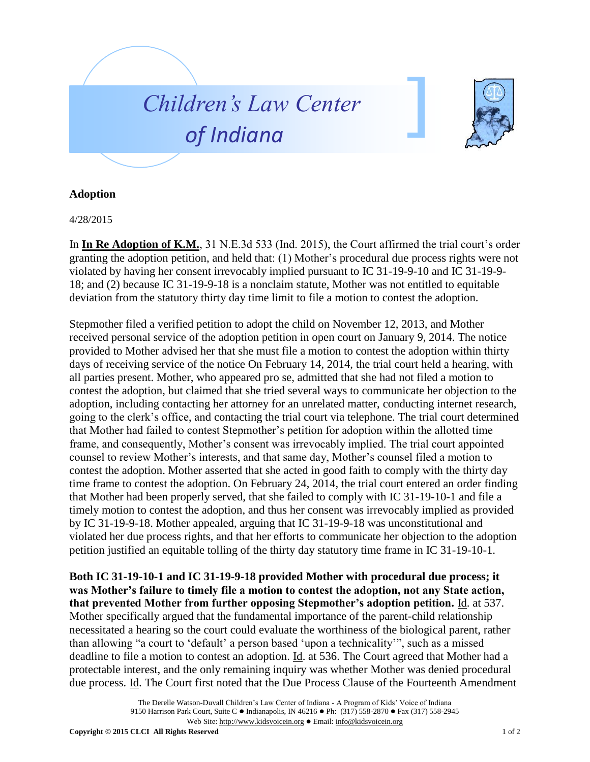



## **Adoption**

4/28/2015

In **In Re Adoption of K.M.**, 31 N.E.3d 533 (Ind. 2015), the Court affirmed the trial court's order granting the adoption petition, and held that: (1) Mother's procedural due process rights were not violated by having her consent irrevocably implied pursuant to IC 31-19-9-10 and IC 31-19-9- 18; and (2) because IC 31-19-9-18 is a nonclaim statute, Mother was not entitled to equitable deviation from the statutory thirty day time limit to file a motion to contest the adoption.

Stepmother filed a verified petition to adopt the child on November 12, 2013, and Mother received personal service of the adoption petition in open court on January 9, 2014. The notice provided to Mother advised her that she must file a motion to contest the adoption within thirty days of receiving service of the notice On February 14, 2014, the trial court held a hearing, with all parties present. Mother, who appeared pro se, admitted that she had not filed a motion to contest the adoption, but claimed that she tried several ways to communicate her objection to the adoption, including contacting her attorney for an unrelated matter, conducting internet research, going to the clerk's office, and contacting the trial court via telephone. The trial court determined that Mother had failed to contest Stepmother's petition for adoption within the allotted time frame, and consequently, Mother's consent was irrevocably implied. The trial court appointed counsel to review Mother's interests, and that same day, Mother's counsel filed a motion to contest the adoption. Mother asserted that she acted in good faith to comply with the thirty day time frame to contest the adoption. On February 24, 2014, the trial court entered an order finding that Mother had been properly served, that she failed to comply with IC 31-19-10-1 and file a timely motion to contest the adoption, and thus her consent was irrevocably implied as provided by IC 31-19-9-18. Mother appealed, arguing that IC 31-19-9-18 was unconstitutional and violated her due process rights, and that her efforts to communicate her objection to the adoption petition justified an equitable tolling of the thirty day statutory time frame in IC 31-19-10-1.

**Both IC 31-19-10-1 and IC 31-19-9-18 provided Mother with procedural due process; it was Mother's failure to timely file a motion to contest the adoption, not any State action, that prevented Mother from further opposing Stepmother's adoption petition.** Id. at 537. Mother specifically argued that the fundamental importance of the parent-child relationship necessitated a hearing so the court could evaluate the worthiness of the biological parent, rather than allowing "a court to 'default' a person based 'upon a technicality'", such as a missed deadline to file a motion to contest an adoption. Id. at 536. The Court agreed that Mother had a protectable interest, and the only remaining inquiry was whether Mother was denied procedural due process. Id. The Court first noted that the Due Process Clause of the Fourteenth Amendment